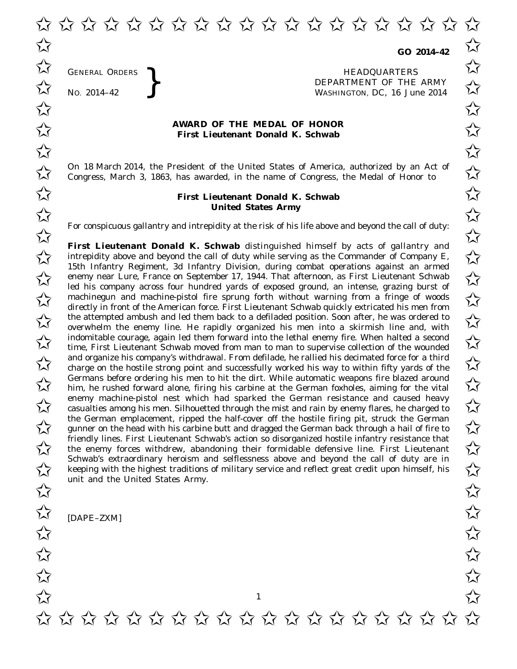✩ ✩ ✩ ✩ ✩ ✩ ✩ ✩ ✩ ✩ ✩ ✩ ✩ ✩ ✩ ✩ ✩ ✩ ✩ ✩  $\overrightarrow{\lambda}$  co 2014-42  $\overrightarrow{\lambda}$ 

**GO 2014–42**

GENERAL ORDERS **REAL ORDERS** HEADQUARTERS **HEADQUARTERS HEADQUARTERS DEPARTMENT** OF THE **WASHINGTON, DC,** 16 Jul No. 2014-42<br>No. 2014-42<br>No. 2014-42 WASHINGTON, DC, *16 June 2014*  $\overrightarrow{\mathcal{A}}$  GENERAL ORDERS  $\overrightarrow{\mathcal{A}}$ 

## **AWARD OF THE MEDAL OF HONOR**<br>
First Lieutenant Donald K. Schwab **First Lieutenant Donald K. Schwab**

On 18 March 2014, the President of the United States of America, authorized by an Act of  $\overline{\mathcal{M}}$  Congress. March 3, 1863, has awarded, in the name of Congress, the Medal of Honor to  $\overline{\mathcal{M}}$ Congress, March 3, 1863, has awarded, in the name of Congress, the Medal of Honor to

## **First Lieutenant Donald K. Schwab** ✩ ✩ **United States Army** United States Army

For conspicuous gallantry and intrepidity at the risk of his life above and beyond the call of duty:<br>  $\overrightarrow{\lambda}$ 

**First Lieutenant Donald K. Schwab** distinguished himself by acts of gallantry and **First Lieutenant Donald K. Schwab** distinguished himself by acts of gallantry and<br>intrepidity above and beyond the call of duty while serving as the Commander of Company E, 15th Infantry Regiment, 3d Infantry Division, during combat operations against an armed For a mantry Regiment, 3d Infiantry Division, during compact operations against an armed<br>
enemy near Lure, France on September 17, 1944. That afternoon, as First Lieutenant Schwab<br>
Let bie company once from burded work of led his company across four hundred yards of exposed ground, an intense, grazing burst of m a company across four numeric yards or exposed ground, an intense, grazing burst or<br>a machinegun and machine-pistol fire sprung forth without warning from a fringe of woods<br>directly in front of the American force First L directly in front of the American force. First Lieutenant Schwab quickly extricated his men from the attempted ambush and led them back to a defiladed position. Soon after, he was ordered to  $\sim$ overwhelm the enemy line. He rapidly organized his men into a skirmish line and, with  $\overline{\mathcal{A}}$  indomitable courage, again led them forward into the lethal enemy fire. When halted a second<br>  $\overline{\mathcal{A}}$  time First Lieutenant Schwab moved from man to man to supervise collection of the wounded time, First Lieutenant Schwab moved from man to man to supervise collection of the wounded and organize his company's withdrawal. From defilade, he rallied his decimated force for a third<br>  $\overrightarrow{\lambda}$  charge on the hostile strong point and successfully worked his way to within fifty vards of the charge on the hostile strong point and successfully worked his way to within fifty yards of the Germans before ordering his men to hit the dirt. While automatic weapons fire blazed around<br>him, he rushed forward alone, firing his carbine at the German foxholes, aiming for the vital him, he rushed forward alone, firing his carbine at the German foxholes, aiming for the vital enemy machine-pistol nest which had sparked the German resistance and caused heavy casualties among his men. Silhouetted through the mist and rain by enemy flares, he charged to  $\lambda$ the German emplacement, ripped the half-cover off the hostile firing pit, struck the German the German emplacement, ripped the half-cover off the hostile firing pit, struck the German gunner on the head with his carbine butt and dragged the German back through a hail of fire to  $\chi$ friendly lines. First Lieutenant Schwab's action so disorganized hostile infantry resistance that friendly lines. First Lieutenant Schwab's action so disorganized hostile infantry resistance that<br>the enemy forces withdrew, abandoning their formidable defensive line. First Lieutenant Schwab's extraordinary heroism and selflessness above and beyond the call of duty are in Schwab's extraordinary heroism and selflessness above and beyond the call of duty are in<br>Reeping with the highest traditions of military service and reflect great credit upon himself, his unit and the United States Army. unit and the United States Army.<br> $\overrightarrow{\lambda}$ 

1

[DAPE–ZXM]

GENERAL ORDERS